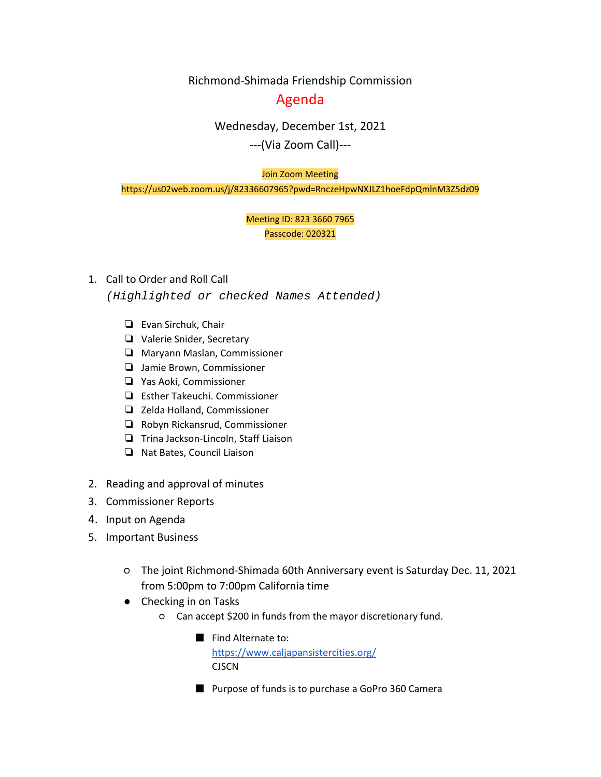Richmond-Shimada Friendship Commission

# Agenda

# Wednesday, December 1st, 2021

---(Via Zoom Call)---

#### Join Zoom Meeting

https://us02web.zoom.us/j/82336607965?pwd=RnczeHpwNXJLZ1hoeFdpQmlnM3Z5dz09

## Meeting ID: 823 3660 7965 Passcode: 020321

### 1. Call to Order and Roll Call

*(Highlighted or checked Names Attended)*

- ❏ Evan Sirchuk, Chair
- ❏ Valerie Snider, Secretary
- ❏ Maryann Maslan, Commissioner
- ❏ Jamie Brown, Commissioner
- ❏ Yas Aoki, Commissioner
- ❏ Esther Takeuchi. Commissioner
- ❏ Zelda Holland, Commissioner
- ❏ Robyn Rickansrud, Commissioner
- ❏ Trina Jackson-Lincoln, Staff Liaison
- ❏ Nat Bates, Council Liaison
- 2. Reading and approval of minutes
- 3. Commissioner Reports
- 4. Input on Agenda
- 5. Important Business
	- The joint Richmond-Shimada 60th Anniversary event is Saturday Dec. 11, 2021 from 5:00pm to 7:00pm California time
	- Checking in on Tasks
		- Can accept \$200 in funds from the mayor discretionary fund.
			- Find Alternate to: <https://www.caljapansistercities.org/> CJSCN
			- Purpose of funds is to purchase a GoPro 360 Camera